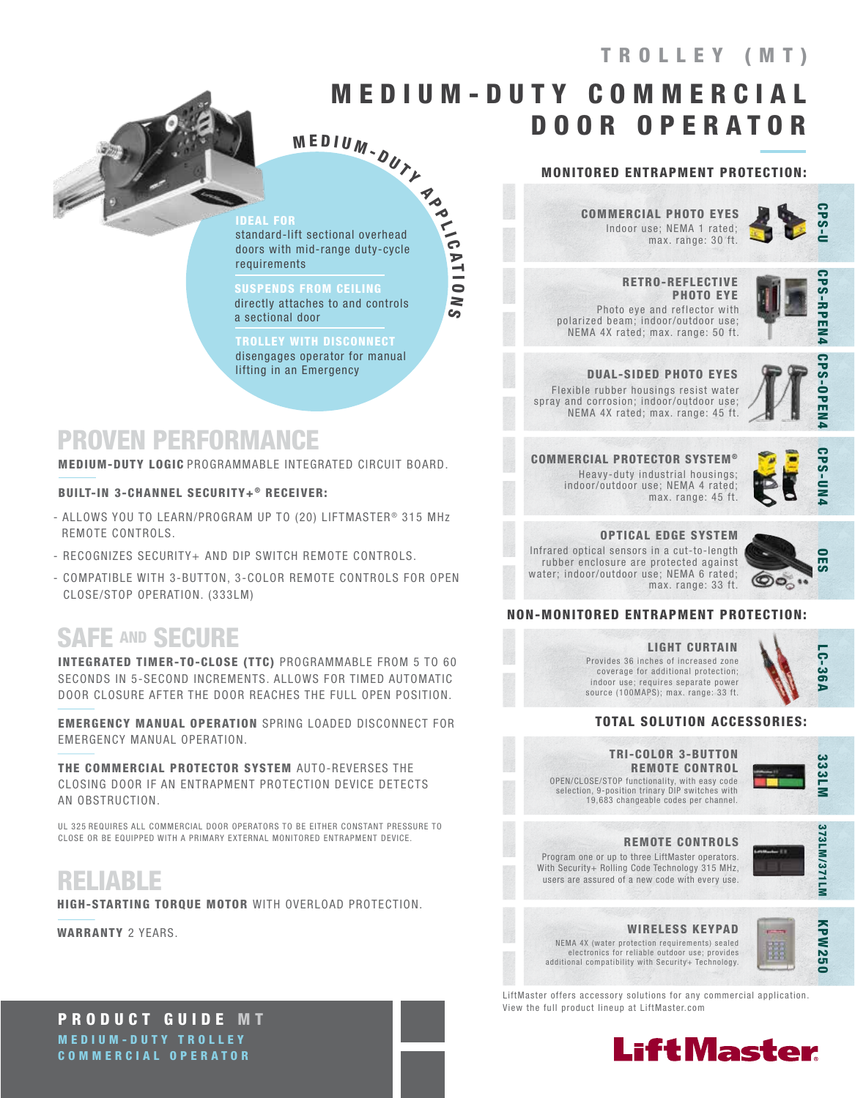# TROLLEY (MT)

# M E D I U M - D U T Y C O M M E R C I A L DOOR OPERATOR

M E D I U M <sub>-</sub>  $\overline{D}U_{\gamma}$ 

### IDEAL FOR

standard-lift sectional overhead doors with mid-range duty-cycle requirements

A P P LIC

A T I O

N S

SUSPENDS FROM CEILING directly attaches to and controls a sectional door

TROLLEY WITH DISCONNECT disengages operator for manual lifting in an Emergency

## PROVEN PERFORMANCE

MEDIUM-DUTY LOGIC PROGRAMMABLE INTEGRATED CIRCUIT BOARD.

### BUILT-IN 3-CHANNEL SECURITY+® RECEIVER:

- ALLOWS YOU TO LEARN/PROGRAM UP TO (20) LIFTMASTER<sup>®</sup> 315 MHz REMOTE CONTROLS.
- RECOGNIZES SECURITY+ AND DIP SWITCH REMOTE CONTROLS.
- COMPATIBLE WITH 3-BUTTON, 3-COLOR REMOTE CONTROLS FOR OPEN CLOSE/STOP OPERATION. (333LM)

## SAFE AND SECURE

INTEGRATED TIMER-TO-CLOSE (TTC) PROGRAMMABLE FROM 5 TO 60 SECONDS IN 5-SECOND INCREMENTS. ALLOWS FOR TIMED AUTOMATIC DOOR CLOSURE AFTER THE DOOR REACHES THE FULL OPEN POSITION.

EMERGENCY MANUAL OPERATION SPRING LOADED DISCONNECT FOR EMERGENCY MANUAL OPERATION.

THE COMMERCIAL PROTECTOR SYSTEM AUTO-REVERSES THE CLOSING DOOR IF AN ENTRAPMENT PROTECTION DEVICE DETECTS AN OBSTRUCTION.

UL 325 REQUIRES ALL COMMERCIAL DOOR OPERATORS TO BE EITHER CONSTANT PRESSURE TO CLOSE OR BE EQUIPPED WITH A PRIMARY EXTERNAL MONITORED ENTRAPMENT DEVICE.

## RELIABLE

HIGH-STARTING TORQUE MOTOR WITH OVERLOAD PROTECTION.

WARRANTY 2 YEARS.

### MONITORED ENTRAPMENT PROTECTION:

Indoor use; NEMA 1 rated; max. range: 30 ft. COMMERCIAL PHOTO EYES

 RETRO-REFLECTIVE PHOTO EYE Photo eye and reflector with polarized beam; indoor/outdoor use; NEMA 4X rated; max. range: 50 ft.



**PS-RPEN4** 

CPS-OPEN4

DUAL-SIDED PHOTO EYES Flexible rubber housings resist water spray and corrosion; indoor/outdoor use; NEMA 4X rated; max. range: 45 ft.



COMMERCIAL PROTECTOR SYSTEM ® Heavy-duty industrial housings; indoor/outdoor use; NEMA 4 rated; max. range: 45 ft.



### OPTICAL EDGE SYSTEM

Infrared optical sensors in a cut-to-length rubber enclosure are protected against water; indoor/outdoor use; NEMA 6 rated; max. range: 33 ft.



### NON-MONITORED ENTRAPMENT PROTECTION:

#### LIGHT CURTAIN Provides 36 inches of increased zone coverage for additional protection; indoor use; requires separate power source (100MAPS); max. range: 33 ft.

LC-36A

### TOTAL SOLUTION ACCESSORIES:

OPEN/CLOSE/STOP functionality, with easy code selection, 9-position trinary DIP switches with 19,683 changeable codes per channel. TRI-COLOR 3-BUTTON REMOTE CONTROL



REMOTE CONTROLS

Program one or up to three LiftMaster operators. With Security+ Rolling Code Technology 315 MHz, users are assured of a new code with every use.



### WIRELESS KEYPAD

NEMA 4X (water protection requirements) sealed electronics for reliable outdoor use; provides additional compatibility with Security+ Technology.



LiftMaster offers accessory solutions for any commercial application. View the full product lineup at LiftMaster.com



PRODUCT GUIDE MT MEDIUM-DUTY TROLLEY COMMERCIAL OPERATOR